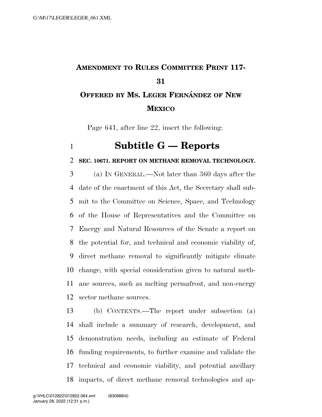## **AMENDMENT TO RULES COMMITTEE PRINT 117- OFFERED BY MS. LEGER FERNA´ NDEZ OF NEW MEXICO**

Page 641, after line 22, insert the following:

## **Subtitle G — Reports**

## **SEC. 10671. REPORT ON METHANE REMOVAL TECHNOLOGY.**

 (a) IN GENERAL.—Not later than 360 days after the date of the enactment of this Act, the Secretary shall sub- mit to the Committee on Science, Space, and Technology of the House of Representatives and the Committee on Energy and Natural Resources of the Senate a report on the potential for, and technical and economic viability of, direct methane removal to significantly mitigate climate change, with special consideration given to natural meth- ane sources, such as melting permafrost, and non-energy sector methane sources.

 (b) CONTENTS.—The report under subsection (a) shall include a summary of research, development, and demonstration needs, including an estimate of Federal funding requirements, to further examine and validate the technical and economic viability, and potential ancillary impacts, of direct methane removal technologies and ap